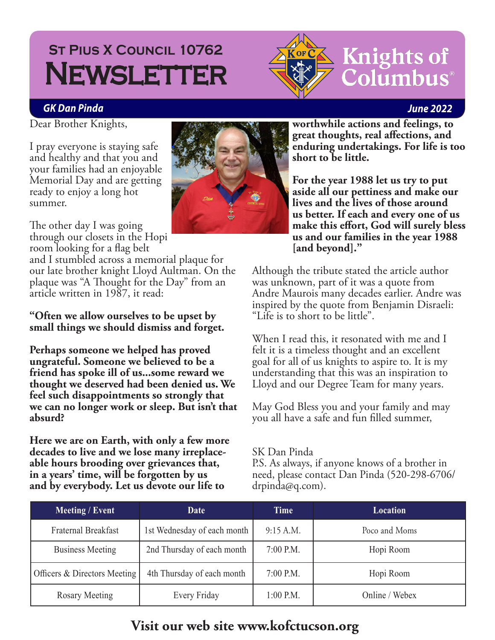## St Pius X Council 10762 **St Pius X Council 10762 NEWSLETTER**



### **Knights of** Columbus®

#### *GK Dan Pinda June 2022*

Dear Brother Knights,

I pray everyone is staying safe and healthy and that you and your families had an enjoyable Memorial Day and are getting ready to enjoy a long hot summer.

The other day I was going through our closets in the Hopi room looking for a flag belt

and I stumbled across a memorial plaque for our late brother knight Lloyd Aultman. On the plaque was "A Thought for the Day" from an article written in 1987, it read:

#### **"Often we allow ourselves to be upset by small things we should dismiss and forget.**

**Perhaps someone we helped has proved ungrateful. Someone we believed to be a friend has spoke ill of us...some reward we thought we deserved had been denied us. We feel such disappointments so strongly that we can no longer work or sleep. But isn't that absurd?**

**Here we are on Earth, with only a few more decades to live and we lose many irreplaceable hours brooding over grievances that, in a years' time, will be forgotten by us and by everybody. Let us devote our life to** 

**worthwhile actions and feelings, to great thoughts, real affections, and enduring undertakings. For life is too short to be little.**

**For the year 1988 let us try to put aside all our pettiness and make our lives and the lives of those around us better. If each and every one of us make this effort, God will surely bless us and our families in the year 1988 [and beyond]."**

Although the tribute stated the article author was unknown, part of it was a quote from Andre Maurois many decades earlier. Andre was inspired by the quote from Benjamin Disraeli: "Life is to short to be little".

When I read this, it resonated with me and I felt it is a timeless thought and an excellent goal for all of us knights to aspire to. It is my understanding that this was an inspiration to Lloyd and our Degree Team for many years.

May God Bless you and your family and may you all have a safe and fun filled summer,

#### SK Dan Pinda

P.S. As always, if anyone knows of a brother in need, please contact Dan Pinda (520-298-6706/ drpinda@q.com).

| Meeting / Event              | Date                        | Time        | Location       |
|------------------------------|-----------------------------|-------------|----------------|
| <b>Fraternal Breakfast</b>   | 1st Wednesday of each month | 9:15 A.M.   | Poco and Moms  |
| <b>Business Meeting</b>      | 2nd Thursday of each month  | $7:00$ P.M. | Hopi Room      |
| Officers & Directors Meeting | 4th Thursday of each month  | $7:00$ P.M. | Hopi Room      |
| Rosary Meeting               | Every Friday                | $1:00$ P.M. | Online / Webex |

### **Visit our web site www.kofctucson.org**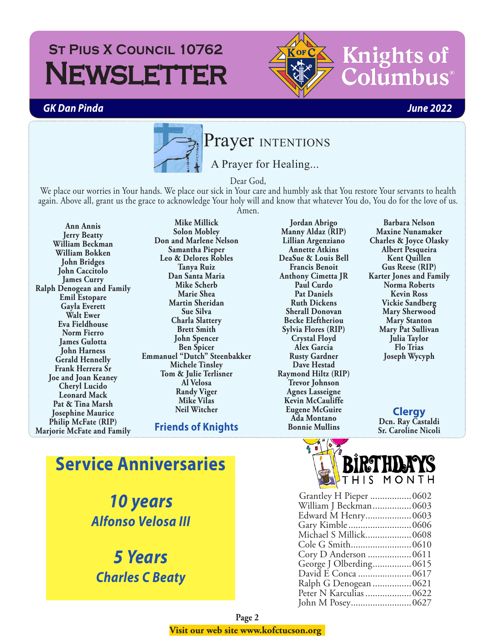#### *GK Dan Pinda June 2022*



Dear God,

We place our worries in Your hands. We place our sick in Your care and humbly ask that You restore Your servants to health again. Above all, grant us the grace to acknowledge Your holy will and know that whatever You do, You do for the love of us. Amen.

**Ann Annis Jerry Beatty William Beckman William Bokken John Bridges John Caccitolo James Curry Ralph Denogean and Family Emil Estopare Gayla Everett Walt Ewer Eva Fieldhouse Norm Fierro James Gulotta John Harness Gerald Hennelly Frank Herrera Sr Joe and Joan Keaney Cheryl Lucido Leonard Mack Pat & Tina Marsh Josephine Maurice Philip McFate (RIP) Marjorie McFate and Family**

**Mike Millick Solon Mobley Don and Marlene Nelson Samantha Pieper Leo & Delores Robles Tanya Ruiz Dan Santa Maria Mike Scherb Marie Shea Martin Sheridan Sue Silva Charla Slattery Brett Smith John Spencer Ben Spicer Emmanuel "Dutch" Steenbakker Michele Tinsley Tom & Julie Terlisner Al Velosa Randy Viger Mike Vilas Neil Witcher**

**Friends of Knights** 

**Jordan Abrigo Manny Aldaz (RIP) Lillian Argenziano Annette Atkins DeaSue & Louis Bell Francis Benoit Anthony Cimetta JR Paul Curdo Pat Daniels Ruth Dickens Sherall Donovan Becke Eleftheriou Sylvia Flores (RIP) Crystal Floyd Alex Garcia Rusty Gardner Dave Hestad Raymond Hiltz (RIP) Trevor Johnson Agnes Lasseigne Kevin McCauliffe Eugene McGuire Ada Montano Bonnie Mullins**

**Barbara Nelson Maxine Nunamaker Charles & Joyce Olasky Albert Pesqueira Kent Quillen Gus Reese (RIP) Karter Jones and Family Norma Roberts Kevin Ross Vickie Sandberg Mary Sherwood Mary Stanton Mary Pat Sullivan Julia Taylor Flo Trias Joseph Wycyph**

**Clergy Dcn. Ray Castaldi Sr. Caroline Nicoli**

**Service Anniversaries**

*10 years Alfonso Velosa III*

*5 Years Charles C Beaty*



| Grantley H Pieper  0602 |
|-------------------------|
| William J Beckman 0603  |
| Edward M Henry 0603     |
| Gary Kimble0606         |
| Michael S Millick0608   |
|                         |
| Cory D Anderson 0611    |
| George J Olberding 0615 |
| David E Conca  0617     |
| Ralph G Denogean  0621  |
| Peter N Karculias  0622 |
|                         |
|                         |



umbus

**Knights of**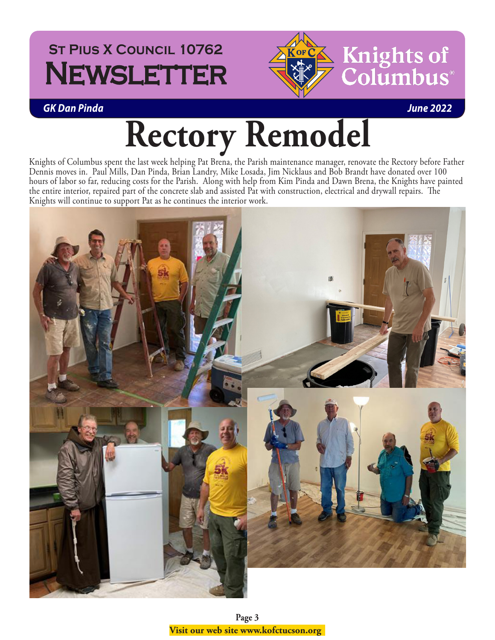## **St Pius X Council 10762 NEWSLETTER**



*GK Dan Pinda June 2022*

# **Rectory Remodel**

Knights of Columbus spent the last week helping Pat Brena, the Parish maintenance manager, renovate the Rectory before Father Dennis moves in. Paul Mills, Dan Pinda, Brian Landry, Mike Losada, Jim Nicklaus and Bob Brandt have donated over 100 hours of labor so far, reducing costs for the Parish. Along with help from Kim Pinda and Dawn Brena, the Knights have painted the entire interior, repaired part of the concrete slab and assisted Pat with construction, electrical and drywall repairs. The Knights will continue to support Pat as he continues the interior work.



**Page 3 Visit our web site www.kofctucson.org**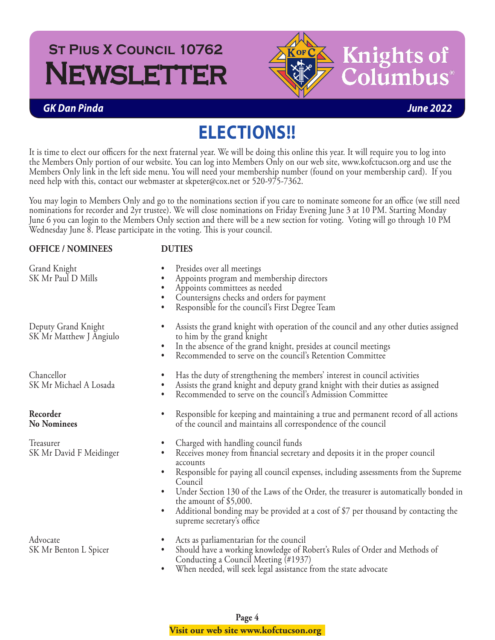

#### *GK Dan Pinda June 2022*

### **ELECTIONS!!**

It is time to elect our officers for the next fraternal year. We will be doing this online this year. It will require you to log into the Members Only portion of our website. You can log into Members Only on our web site, www.kofctucson.org and use the Members Only link in the left side menu. You will need your membership number (found on your membership card). If you need help with this, contact our webmaster at skpeter@cox.net or 520-975-7362.

You may login to Members Only and go to the nominations section if you care to nominate someone for an office (we still need nominations for recorder and 2yr trustee). We will close nominations on Friday Evening June 3 at 10 PM. Starting Monday June 6 you can login to the Members Only section and there will be a new section for voting. Voting will go through 10 PM Wednesday June 8. Please participate in the voting. This is your council.

| <b>OFFICE / NOMINEES</b>                       | <b>DUTIES</b>                                                                                                                                                                                                                                                                                                                                                                                                                                                                                                                             |  |
|------------------------------------------------|-------------------------------------------------------------------------------------------------------------------------------------------------------------------------------------------------------------------------------------------------------------------------------------------------------------------------------------------------------------------------------------------------------------------------------------------------------------------------------------------------------------------------------------------|--|
| Grand Knight<br>SK Mr Paul D Mills             | Presides over all meetings<br>Appoints program and membership directors<br>Appoints committees as needed<br>Countersigns checks and orders for payment<br>Responsible for the council's First Degree Team                                                                                                                                                                                                                                                                                                                                 |  |
| Deputy Grand Knight<br>SK Mr Matthew J Angiulo | Assists the grand knight with operation of the council and any other duties assigned<br>to him by the grand knight<br>In the absence of the grand knight, presides at council meetings<br>Recommended to serve on the council's Retention Committee                                                                                                                                                                                                                                                                                       |  |
| Chancellor<br>SK Mr Michael A Losada           | Has the duty of strengthening the members' interest in council activities<br>$\bullet$<br>Assists the grand knight and deputy grand knight with their duties as assigned<br>$\bullet$<br>Recommended to serve on the council's Admission Committee<br>$\bullet$                                                                                                                                                                                                                                                                           |  |
| Recorder<br><b>No Nominees</b>                 | Responsible for keeping and maintaining a true and permanent record of all actions<br>$\bullet$<br>of the council and maintains all correspondence of the council                                                                                                                                                                                                                                                                                                                                                                         |  |
| Treasurer<br>SK Mr David F Meidinger           | Charged with handling council funds<br>$\bullet$<br>Receives money from financial secretary and deposits it in the proper council<br>$\bullet$<br>accounts<br>Responsible for paying all council expenses, including assessments from the Supreme<br>$\bullet$<br>Council<br>Under Section 130 of the Laws of the Order, the treasurer is automatically bonded in<br>$\bullet$<br>the amount of \$5,000.<br>Additional bonding may be provided at a cost of \$7 per thousand by contacting the<br>$\bullet$<br>supreme secretary's office |  |
| Advocate<br>SK Mr Benton L Spicer              | Acts as parliamentarian for the council<br>$\bullet$<br>Should have a working knowledge of Robert's Rules of Order and Methods of<br>$\bullet$<br>Conducting a Council Meeting (#1937)<br>When needed, will seek legal assistance from the state advocate<br>$\bullet$                                                                                                                                                                                                                                                                    |  |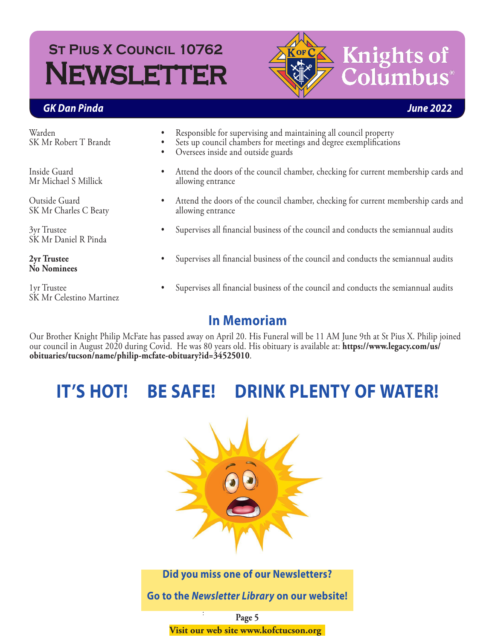

## **Knights of** lumbus

#### *GK Dan Pinda June 2022*

Warden SK Mr Robert T Brandt

Inside Guard Mr Michael S Millick

Outside Guard SK Mr Charles C Beaty

3yr Trustee SK Mr Daniel R Pinda

**2yr Trustee No Nominees**

1yr Trustee SK Mr Celestino Martinez

- Responsible for supervising and maintaining all council property
- Sets up council chambers for meetings and degree exemplifications
- Oversees inside and outside guards
- Attend the doors of the council chamber, checking for current membership cards and allowing entrance
- Attend the doors of the council chamber, checking for current membership cards and allowing entrance
- Supervises all financial business of the council and conducts the semiannual audits
- Supervises all financial business of the council and conducts the semiannual audits
- Supervises all financial business of the council and conducts the semiannual audits

#### **In Memoriam**

Our Brother Knight Philip McFate has passed away on April 20. His Funeral will be 11 AM June 9th at St Pius X. Philip joined our council in August 2020 during Covid. He was 80 years old. His obituary is available at: **[https://www.legacy.com/us/](https://www.legacy.com/us/obituaries/tucson/name/philip-mcfate-obituary?id=34525010) [obituaries/tucson/name/philip-mcfate-obituary?id=34525010](https://www.legacy.com/us/obituaries/tucson/name/philip-mcfate-obituary?id=34525010)**.

### **IT'S HOT! BE SAFE! DRINK PLENTY OF WATER!**



**Did you miss one of our Newsletters?**

**Go to the** *[Newsletter Library](http://uknight.org/CouncilSite/newsletters.asp?CNO=10762)* **on our website!**

**Page 5 Visit our web site www.kofctucson.org**